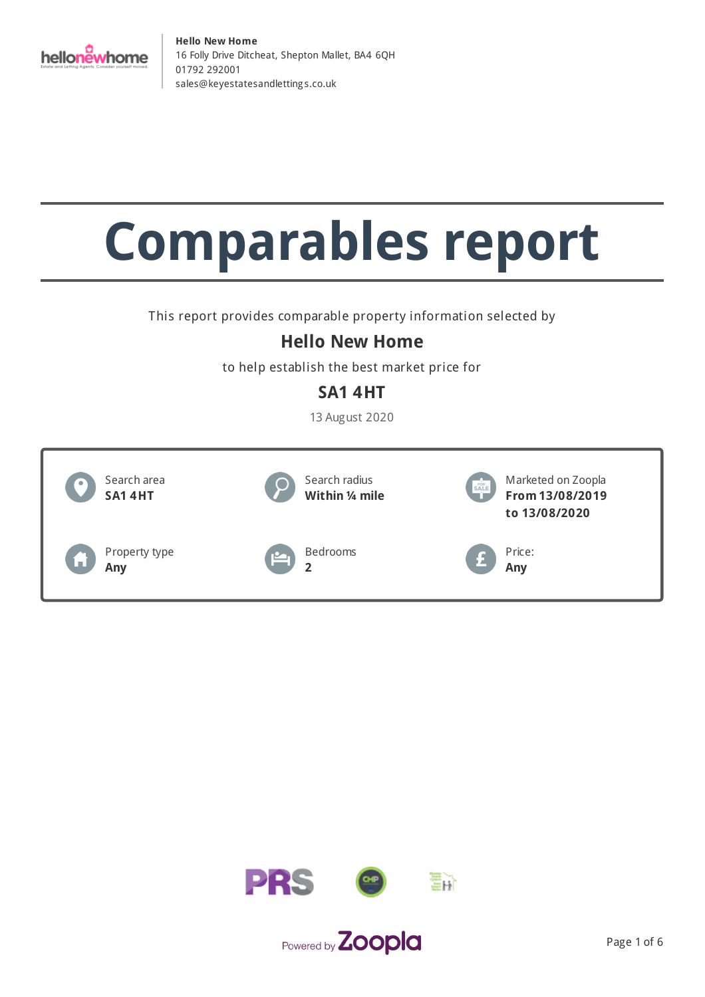

# **Comparables report**

This report provides comparable property information selected by

## **Hello New Home**

to help establish the best market price for

## **SA1 4HT**

13 August 2020



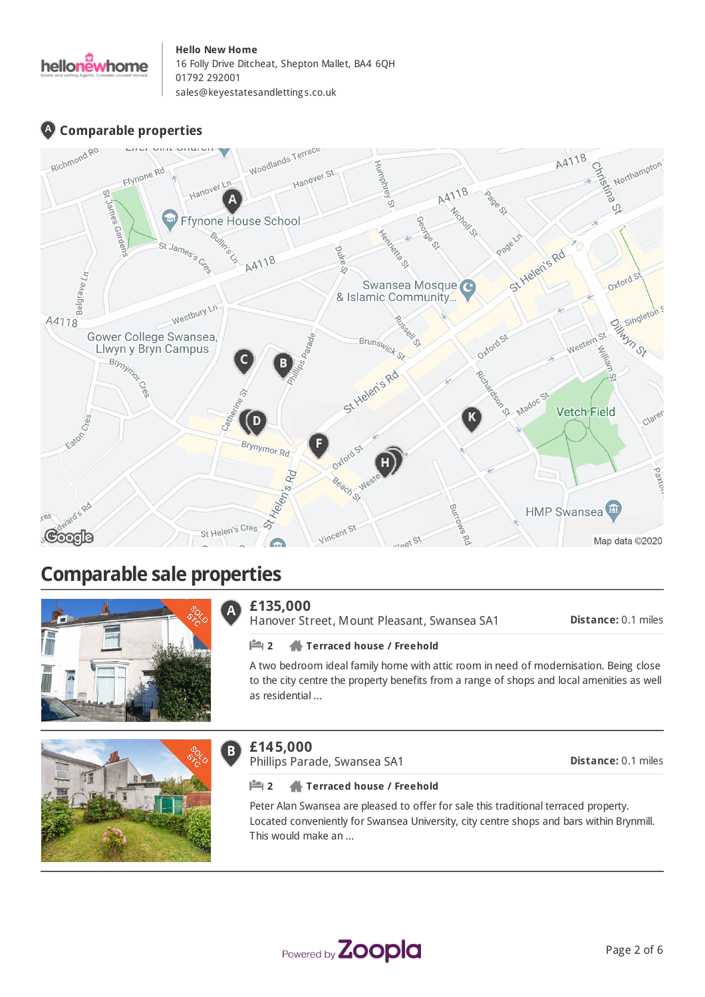

## **Comparable properties**



## **Comparable sale properties**



#### **£135,000** Ā

Hanover Street, Mount Pleasant, Swansea SA1

**Distance:** 0.1 miles

#### **2 Terraced house / Freehold**

A two bedroom ideal family home with attic room in need of modernisation. Being close to the city centre the property benefits from a range of shops and local amenities as well as residential ...



## **£145,000**

 $B$ 

Phillips Parade, Swansea SA1

**Distance:** 0.1 miles

#### **2 Terraced house / Freehold**

Peter Alan Swansea are pleased to offer for sale this traditional terraced property. Located conveniently for Swansea University, city centre shops and bars within Brynmill. This would make an ...

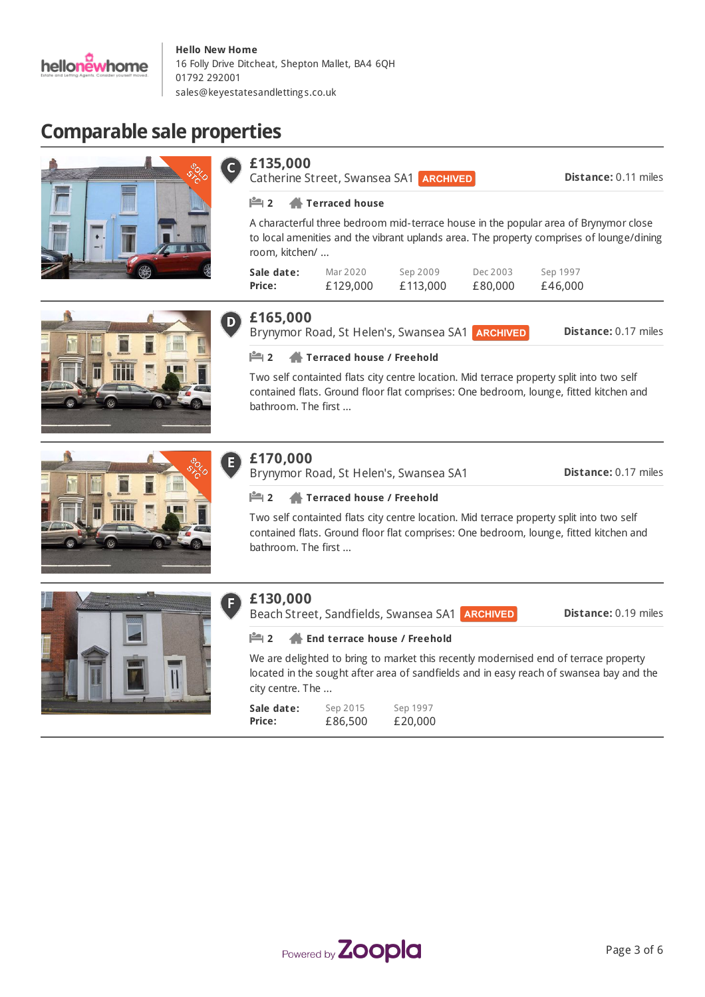

**£135,000**

r

## **Comparable sale properties**









**Sale date: Price:**

room, kitchen/ ...

**Distance:** 0.17 miles Brynymor Road, St Helen's, Swansea SA1 **ARCHIVED** 

A characterful three bedroom mid-terrace house in the popular area of Brynymor close to local amenities and the vibrant uplands area. The property comprises of lounge/dining

> Dec 2003 £80,000

Sep 1997 £46,000

Sep 2009 £113,000

#### **2 Terraced house / Freehold**

Mar 2020 £129,000

**2 Terraced house**

Catherine Street, Swansea SA1 **ARCHIVED** 

Two self containted flats city centre location. Mid terrace property split into two self contained flats. Ground floor flat comprises: One bedroom, lounge, fitted kitchen and bathroom. The first ...

## **£170,000**

E

Brynymor Road, St Helen's, Swansea SA1

**Distance:** 0.17 miles

**Distance:** 0.11 miles

#### **2 Terraced house / Freehold**

Two self containted flats city centre location. Mid terrace property split into two self contained flats. Ground floor flat comprises: One bedroom, lounge, fitted kitchen and bathroom. The first ...



## **£130,000**

Beach Street, Sandfields, Swansea SA1

**Distance:** 0.19 miles

#### **2 End terrace house / Freehold**

We are delighted to bring to market this recently modernised end of terrace property located in the sought after area of sandfields and in easy reach of swansea bay and the city centre. The ...

| Sale date: | Sep 2015 | Sep 1997 |
|------------|----------|----------|
| Price:     | £86,500  | £20,000  |

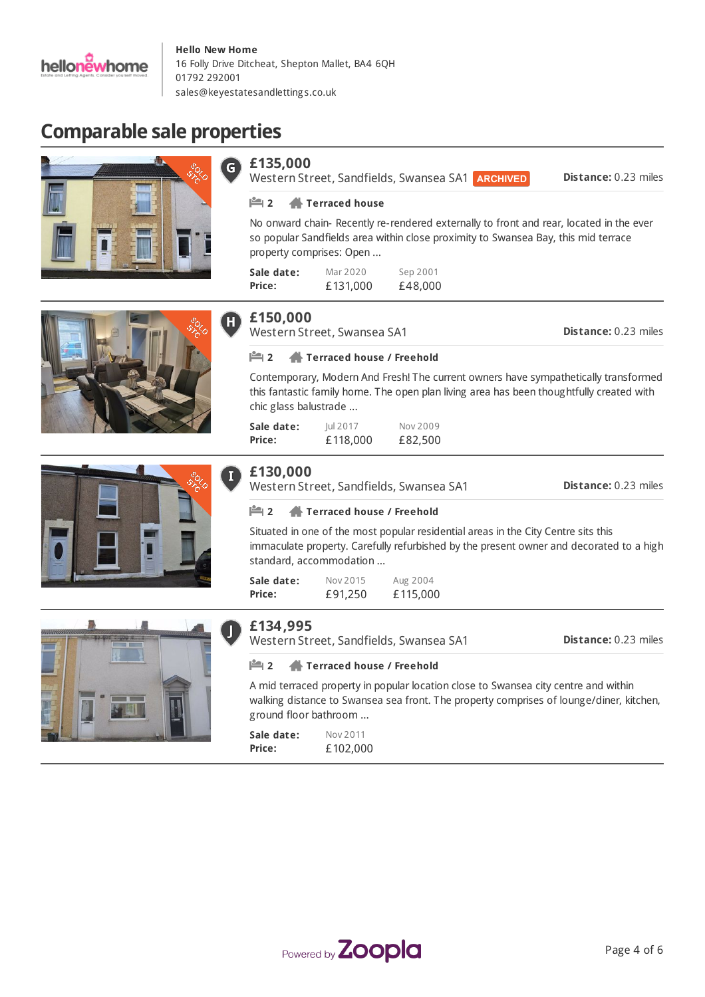

**£135,000**

## **Comparable sale properties**









## **£150,000**

**Sale date: Price:**

Western Street, Swansea SA1

**2 Terraced house**

property comprises: Open ...

**Distance:** 0.23 miles

**Distance:** 0.23 miles

#### **2 Terraced house / Freehold**

Mar 2020 £131,000

Contemporary, Modern And Fresh! The current owners have sympathetically transformed this fantastic family home. The open plan living area has been thoughtfully created with chic glass balustrade ...

No onward chain- Recently re-rendered externally to front and rear, located in the ever so popular Sandfields area within close proximity to Swansea Bay, this mid terrace

> Sep 2001 £48,000

Western Street, Sandfields, Swansea SA1 **ARCHIVED** 

| Sale date: | <b>Iul 2017</b> | Nov 2009 |
|------------|-----------------|----------|
| Price:     | £118,000        | £82,500  |

### **£130,000**

**Sale date:** Nov 2015 Aug 2004 **Distance:** 0.23 miles Western Street, Sandfields, Swansea SA1 **2 Terraced house / Freehold** Situated in one of the most popular residential areas in the City Centre sits this immaculate property. Carefully refurbished by the present owner and decorated to a high standard, accommodation ...



Western Street, Sandfields, Swansea SA1

**Distance:** 0.23 miles

#### **2 Terraced house / Freehold**

A mid terraced property in popular location close to Swansea city centre and within walking distance to Swansea sea front. The property comprises of lounge/diner, kitchen, ground floor bathroom ...

**Sale date: Price:** Nov 2011 £102,000

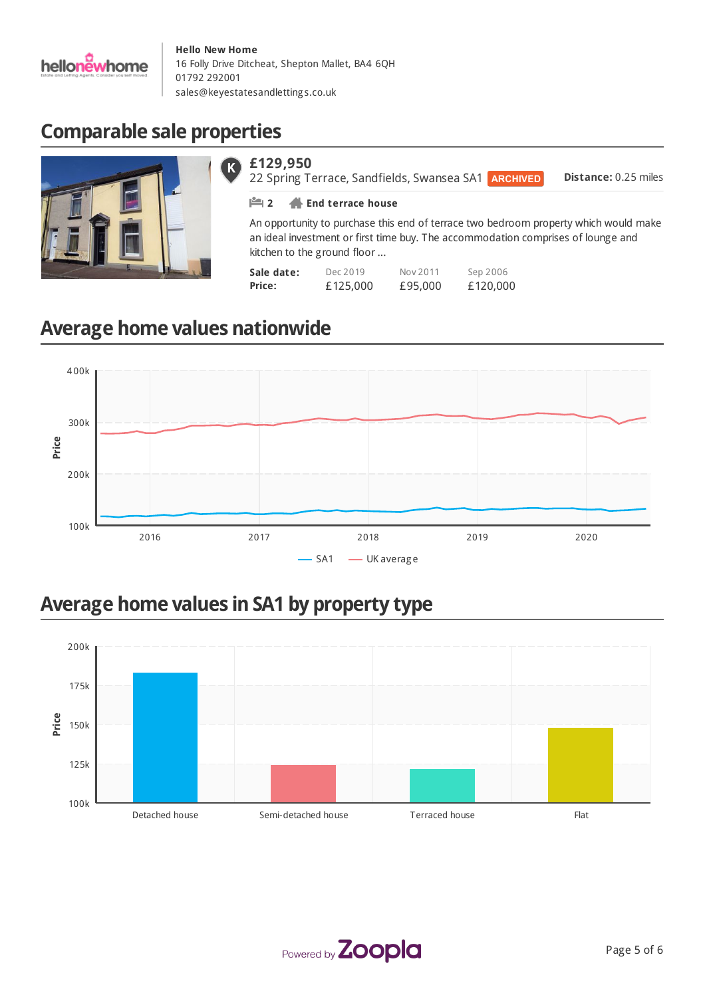

## **Comparable sale properties**



#### **£129,950** K)

**Distance:** 0.25 miles 22 Spring Terrace, Sandfields, Swansea SA1 ARCHIVED **2 End terrace house**

An opportunity to purchase this end of terrace two bedroom property which would make an ideal investment or first time buy. The accommodation comprises of lounge and kitchen to the ground floor ...

| Sale date: | Dec 2019 | Nov 2011 | Sep 2006 |
|------------|----------|----------|----------|
| Price:     | £125,000 | £95,000  | £120,000 |

## **Average home values nationwide**



## **Average home values in SA1 by property type**